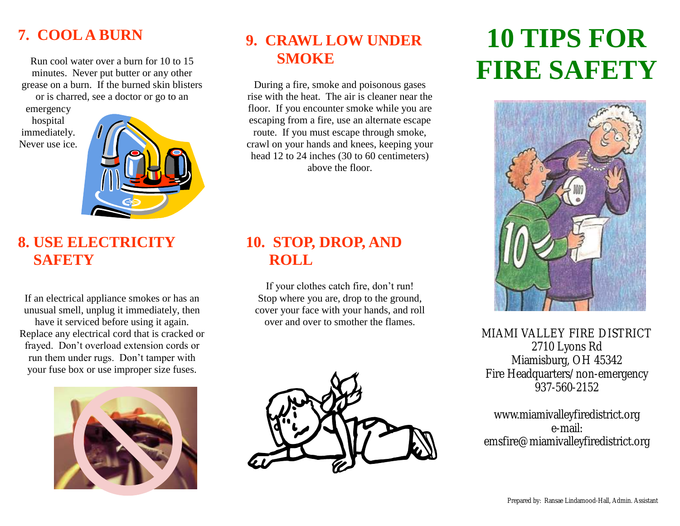# **7. COOL A BURN**

Run cool water over a burn for 10 to 15 minutes. Never put butter or any other grease on a burn. If the burned skin blisters or is charred, see a doctor or go to an

emergency hospital immediately. Never use ice.



#### **8. USE ELECTRICITY SAFETY**

If an electrical appliance smokes or has an unusual smell, unplug it immediately, then have it serviced before using it again. Replace any electrical cord that is cracked or frayed. Don't overload extension cords or run them under rugs. Don't tamper with your fuse box or use improper size fuses.



# **9. CRAWL LOW UNDER SMOKE**

During a fire, smoke and poisonous gases rise with the heat. The air is cleaner near the floor. If you encounter smoke while you are escaping from a fire, use an alternate escape route. If you must escape through smoke, crawl on your hands and knees, keeping your head 12 to 24 inches (30 to 60 centimeters) above the floor.

# **10. STOP, DROP, AND ROLL**

If your clothes catch fire, don't run! Stop where you are, drop to the ground, cover your face with your hands, and roll over and over to smother the flames.



# **10 TIPS FOR FIRE SAFETY**



MIAMI VALLEY FIRE DISTRICT 2710 Lyons Rd Miamisburg, OH 45342 Fire Headquarters/non-emergency 937-560-2152

www.miamivalleyfiredistrict.org e-mail: emsfire@miamivalleyfiredistrict.org